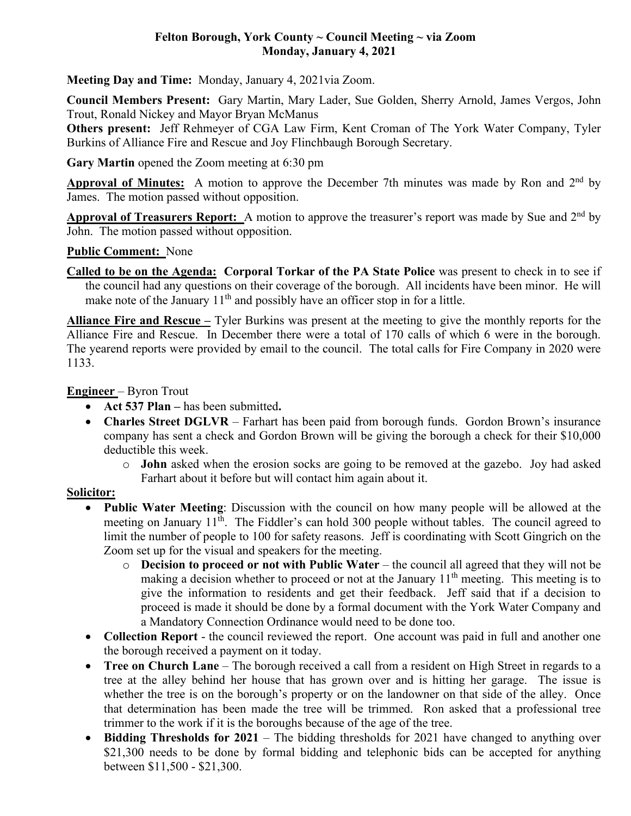## **Felton Borough, York County ~ Council Meeting ~ via Zoom Monday, January 4, 2021**

**Meeting Day and Time:** Monday, January 4, 2021via Zoom.

**Council Members Present:** Gary Martin, Mary Lader, Sue Golden, Sherry Arnold, James Vergos, John Trout, Ronald Nickey and Mayor Bryan McManus

**Others present:** Jeff Rehmeyer of CGA Law Firm, Kent Croman of The York Water Company, Tyler Burkins of Alliance Fire and Rescue and Joy Flinchbaugh Borough Secretary.

**Gary Martin** opened the Zoom meeting at 6:30 pm

**Approval of Minutes:** A motion to approve the December 7th minutes was made by Ron and 2<sup>nd</sup> by James. The motion passed without opposition.

**Approval of Treasurers Report:** A motion to approve the treasurer's report was made by Sue and 2nd by John. The motion passed without opposition.

### **Public Comment:** None

**Called to be on the Agenda: Corporal Torkar of the PA State Police** was present to check in to see if the council had any questions on their coverage of the borough. All incidents have been minor. He will make note of the January 11<sup>th</sup> and possibly have an officer stop in for a little.

**Alliance Fire and Rescue –** Tyler Burkins was present at the meeting to give the monthly reports for the Alliance Fire and Rescue. In December there were a total of 170 calls of which 6 were in the borough. The yearend reports were provided by email to the council. The total calls for Fire Company in 2020 were 1133.

### **Engineer** – Byron Trout

- **Act 537 Plan –** has been submitted**.**
- **Charles Street DGLVR** Farhart has been paid from borough funds. Gordon Brown's insurance company has sent a check and Gordon Brown will be giving the borough a check for their \$10,000 deductible this week.
	- o **John** asked when the erosion socks are going to be removed at the gazebo. Joy had asked Farhart about it before but will contact him again about it.

## **Solicitor:**

- **Public Water Meeting**: Discussion with the council on how many people will be allowed at the meeting on January 11<sup>th</sup>. The Fiddler's can hold 300 people without tables. The council agreed to limit the number of people to 100 for safety reasons. Jeff is coordinating with Scott Gingrich on the Zoom set up for the visual and speakers for the meeting.
	- o **Decision to proceed or not with Public Water**  the council all agreed that they will not be making a decision whether to proceed or not at the January  $11<sup>th</sup>$  meeting. This meeting is to give the information to residents and get their feedback. Jeff said that if a decision to proceed is made it should be done by a formal document with the York Water Company and a Mandatory Connection Ordinance would need to be done too.
- **Collection Report**  the council reviewed the report. One account was paid in full and another one the borough received a payment on it today.
- **Tree on Church Lane** The borough received a call from a resident on High Street in regards to a tree at the alley behind her house that has grown over and is hitting her garage. The issue is whether the tree is on the borough's property or on the landowner on that side of the alley. Once that determination has been made the tree will be trimmed. Ron asked that a professional tree trimmer to the work if it is the boroughs because of the age of the tree.
- **Bidding Thresholds for 2021** The bidding thresholds for 2021 have changed to anything over \$21,300 needs to be done by formal bidding and telephonic bids can be accepted for anything between \$11,500 - \$21,300.